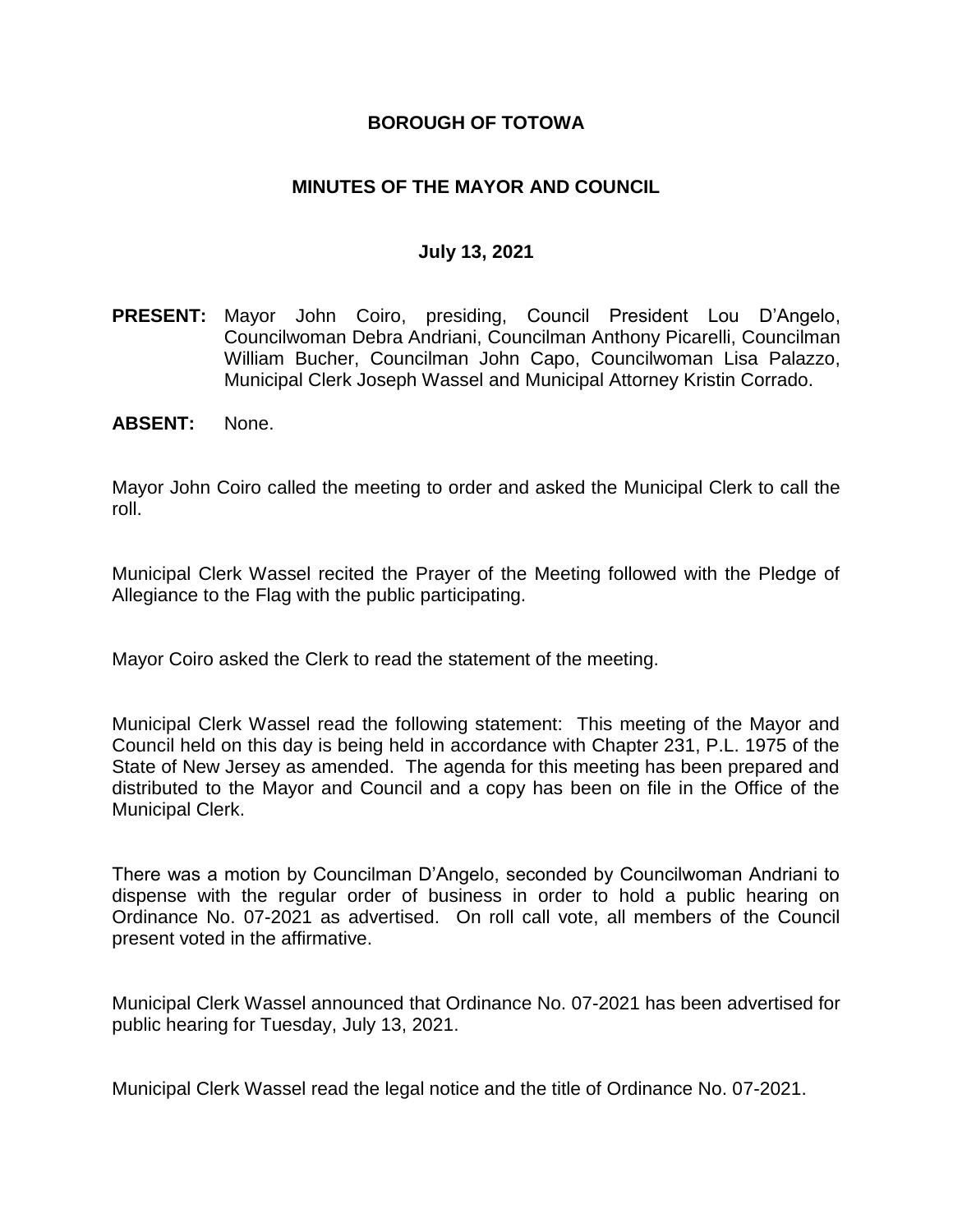### **BOROUGH OF TOTOWA**

### **MINUTES OF THE MAYOR AND COUNCIL**

#### **July 13, 2021**

- **PRESENT:** Mayor John Coiro, presiding, Council President Lou D'Angelo, Councilwoman Debra Andriani, Councilman Anthony Picarelli, Councilman William Bucher, Councilman John Capo, Councilwoman Lisa Palazzo, Municipal Clerk Joseph Wassel and Municipal Attorney Kristin Corrado.
- **ABSENT:** None.

Mayor John Coiro called the meeting to order and asked the Municipal Clerk to call the roll.

Municipal Clerk Wassel recited the Prayer of the Meeting followed with the Pledge of Allegiance to the Flag with the public participating.

Mayor Coiro asked the Clerk to read the statement of the meeting.

Municipal Clerk Wassel read the following statement: This meeting of the Mayor and Council held on this day is being held in accordance with Chapter 231, P.L. 1975 of the State of New Jersey as amended. The agenda for this meeting has been prepared and distributed to the Mayor and Council and a copy has been on file in the Office of the Municipal Clerk.

There was a motion by Councilman D'Angelo, seconded by Councilwoman Andriani to dispense with the regular order of business in order to hold a public hearing on Ordinance No. 07-2021 as advertised. On roll call vote, all members of the Council present voted in the affirmative.

Municipal Clerk Wassel announced that Ordinance No. 07-2021 has been advertised for public hearing for Tuesday, July 13, 2021.

Municipal Clerk Wassel read the legal notice and the title of Ordinance No. 07-2021.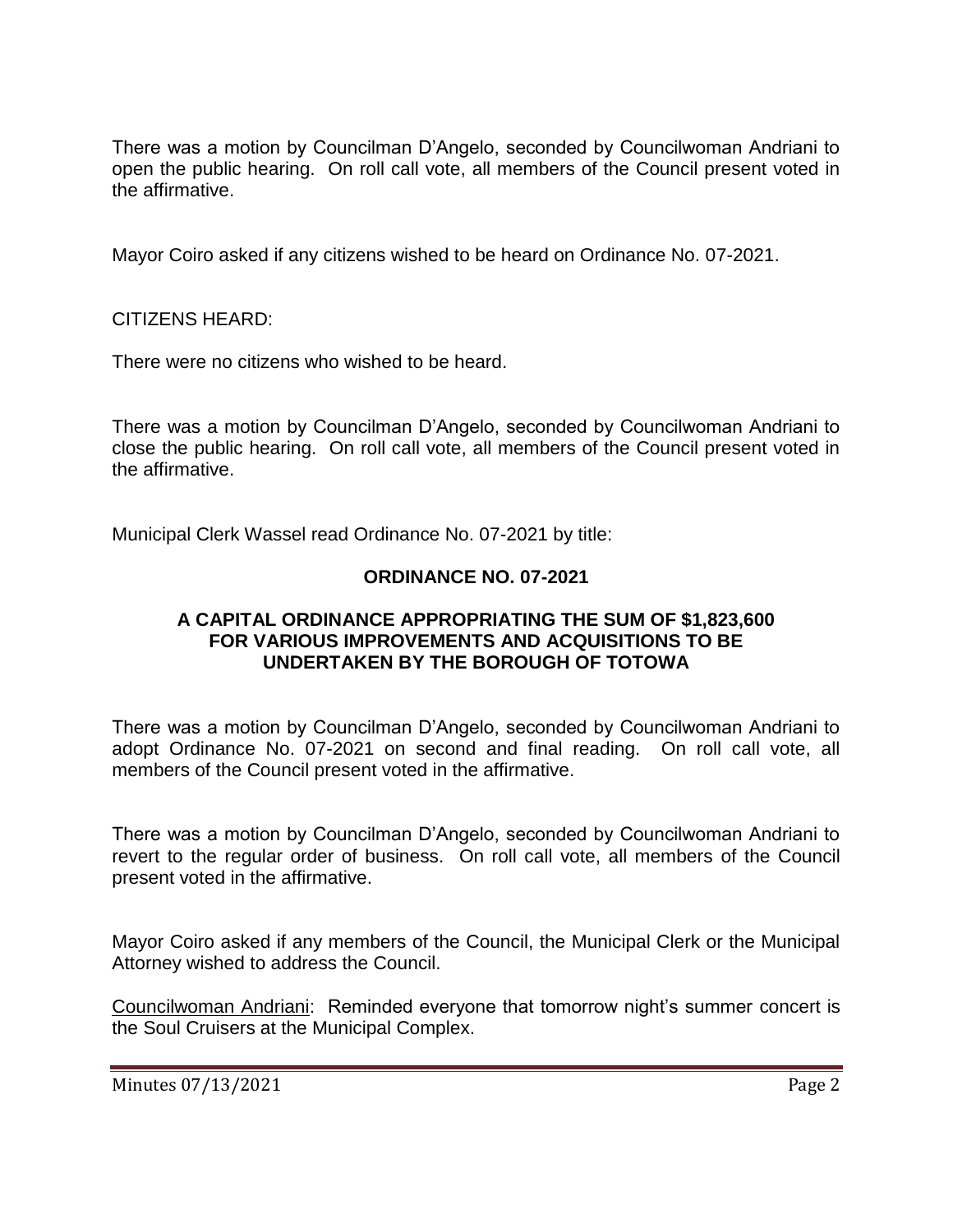There was a motion by Councilman D'Angelo, seconded by Councilwoman Andriani to open the public hearing. On roll call vote, all members of the Council present voted in the affirmative.

Mayor Coiro asked if any citizens wished to be heard on Ordinance No. 07-2021.

#### CITIZENS HEARD:

There were no citizens who wished to be heard.

There was a motion by Councilman D'Angelo, seconded by Councilwoman Andriani to close the public hearing. On roll call vote, all members of the Council present voted in the affirmative.

Municipal Clerk Wassel read Ordinance No. 07-2021 by title:

# **ORDINANCE NO. 07-2021**

#### **A CAPITAL ORDINANCE APPROPRIATING THE SUM OF \$1,823,600 FOR VARIOUS IMPROVEMENTS AND ACQUISITIONS TO BE UNDERTAKEN BY THE BOROUGH OF TOTOWA**

There was a motion by Councilman D'Angelo, seconded by Councilwoman Andriani to adopt Ordinance No. 07-2021 on second and final reading. On roll call vote, all members of the Council present voted in the affirmative.

There was a motion by Councilman D'Angelo, seconded by Councilwoman Andriani to revert to the regular order of business. On roll call vote, all members of the Council present voted in the affirmative.

Mayor Coiro asked if any members of the Council, the Municipal Clerk or the Municipal Attorney wished to address the Council.

Councilwoman Andriani: Reminded everyone that tomorrow night's summer concert is the Soul Cruisers at the Municipal Complex.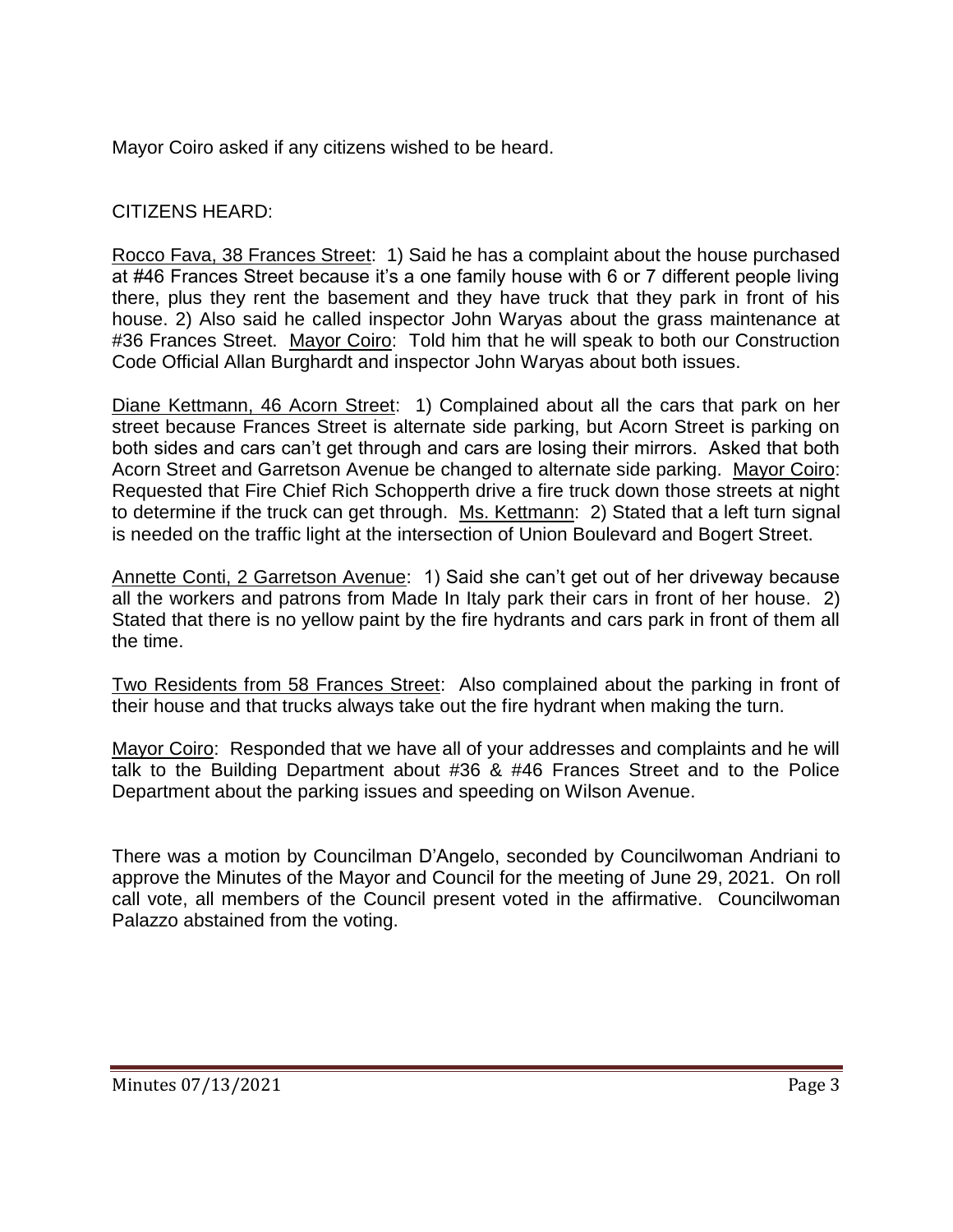Mayor Coiro asked if any citizens wished to be heard.

# CITIZENS HEARD:

Rocco Fava, 38 Frances Street: 1) Said he has a complaint about the house purchased at #46 Frances Street because it's a one family house with 6 or 7 different people living there, plus they rent the basement and they have truck that they park in front of his house. 2) Also said he called inspector John Waryas about the grass maintenance at #36 Frances Street. Mayor Coiro: Told him that he will speak to both our Construction Code Official Allan Burghardt and inspector John Waryas about both issues.

Diane Kettmann, 46 Acorn Street: 1) Complained about all the cars that park on her street because Frances Street is alternate side parking, but Acorn Street is parking on both sides and cars can't get through and cars are losing their mirrors. Asked that both Acorn Street and Garretson Avenue be changed to alternate side parking. Mayor Coiro: Requested that Fire Chief Rich Schopperth drive a fire truck down those streets at night to determine if the truck can get through. Ms. Kettmann: 2) Stated that a left turn signal is needed on the traffic light at the intersection of Union Boulevard and Bogert Street.

Annette Conti, 2 Garretson Avenue: 1) Said she can't get out of her driveway because all the workers and patrons from Made In Italy park their cars in front of her house. 2) Stated that there is no yellow paint by the fire hydrants and cars park in front of them all the time.

Two Residents from 58 Frances Street: Also complained about the parking in front of their house and that trucks always take out the fire hydrant when making the turn.

Mayor Coiro: Responded that we have all of your addresses and complaints and he will talk to the Building Department about #36 & #46 Frances Street and to the Police Department about the parking issues and speeding on Wilson Avenue.

There was a motion by Councilman D'Angelo, seconded by Councilwoman Andriani to approve the Minutes of the Mayor and Council for the meeting of June 29, 2021. On roll call vote, all members of the Council present voted in the affirmative. Councilwoman Palazzo abstained from the voting.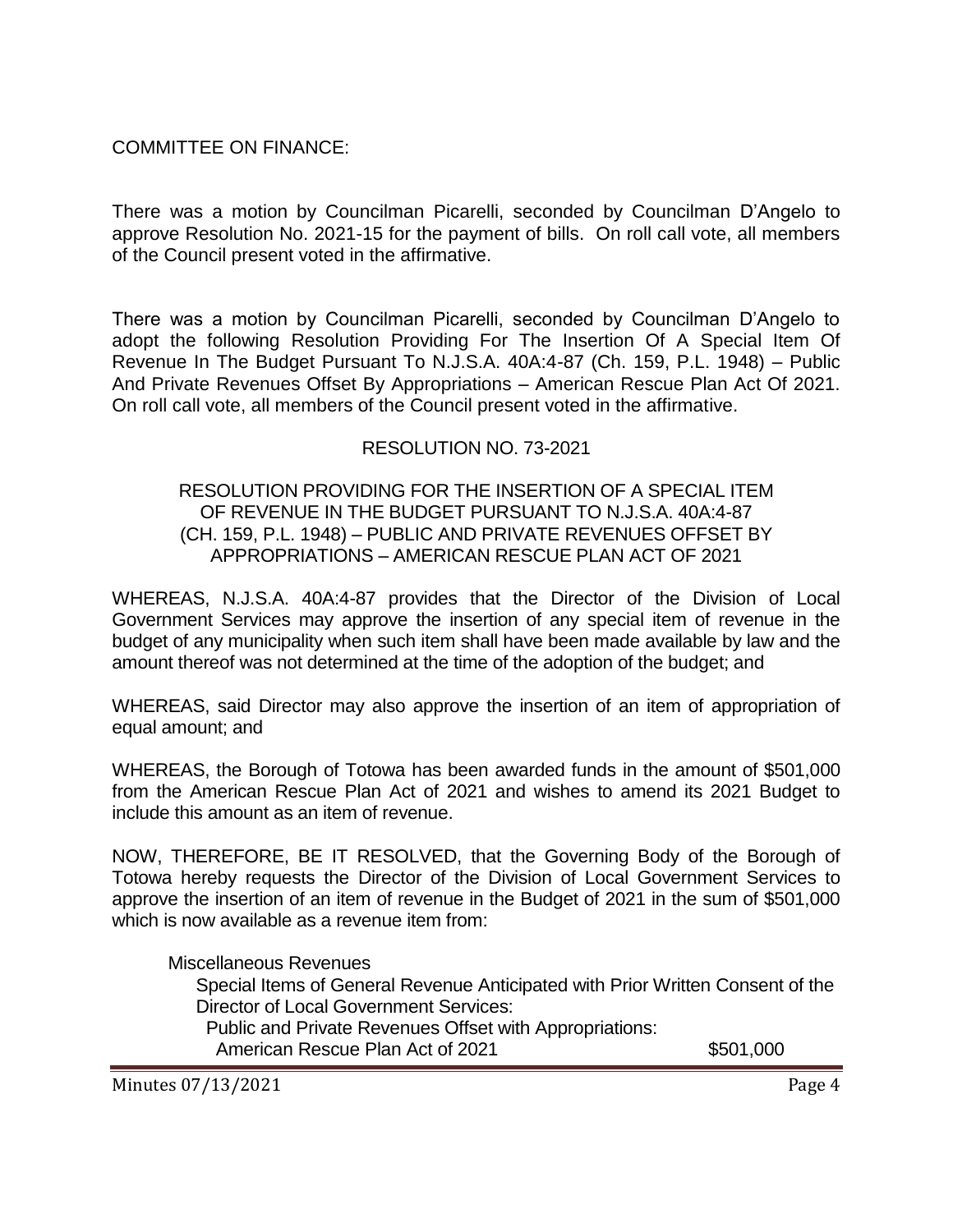# COMMITTEE ON FINANCE:

There was a motion by Councilman Picarelli, seconded by Councilman D'Angelo to approve Resolution No. 2021-15 for the payment of bills. On roll call vote, all members of the Council present voted in the affirmative.

There was a motion by Councilman Picarelli, seconded by Councilman D'Angelo to adopt the following Resolution Providing For The Insertion Of A Special Item Of Revenue In The Budget Pursuant To N.J.S.A. 40A:4-87 (Ch. 159, P.L. 1948) – Public And Private Revenues Offset By Appropriations – American Rescue Plan Act Of 2021. On roll call vote, all members of the Council present voted in the affirmative.

# RESOLUTION NO. 73-2021

#### RESOLUTION PROVIDING FOR THE INSERTION OF A SPECIAL ITEM OF REVENUE IN THE BUDGET PURSUANT TO N.J.S.A. 40A:4-87 (CH. 159, P.L. 1948) – PUBLIC AND PRIVATE REVENUES OFFSET BY APPROPRIATIONS – AMERICAN RESCUE PLAN ACT OF 2021

WHEREAS, N.J.S.A. 40A:4-87 provides that the Director of the Division of Local Government Services may approve the insertion of any special item of revenue in the budget of any municipality when such item shall have been made available by law and the amount thereof was not determined at the time of the adoption of the budget; and

WHEREAS, said Director may also approve the insertion of an item of appropriation of equal amount; and

WHEREAS, the Borough of Totowa has been awarded funds in the amount of \$501,000 from the American Rescue Plan Act of 2021 and wishes to amend its 2021 Budget to include this amount as an item of revenue.

NOW, THEREFORE, BE IT RESOLVED, that the Governing Body of the Borough of Totowa hereby requests the Director of the Division of Local Government Services to approve the insertion of an item of revenue in the Budget of 2021 in the sum of \$501,000 which is now available as a revenue item from:

Miscellaneous Revenues

Special Items of General Revenue Anticipated with Prior Written Consent of the Director of Local Government Services:

Public and Private Revenues Offset with Appropriations:

American Rescue Plan Act of 2021 \$501,000

Minutes 07/13/2021 Page 4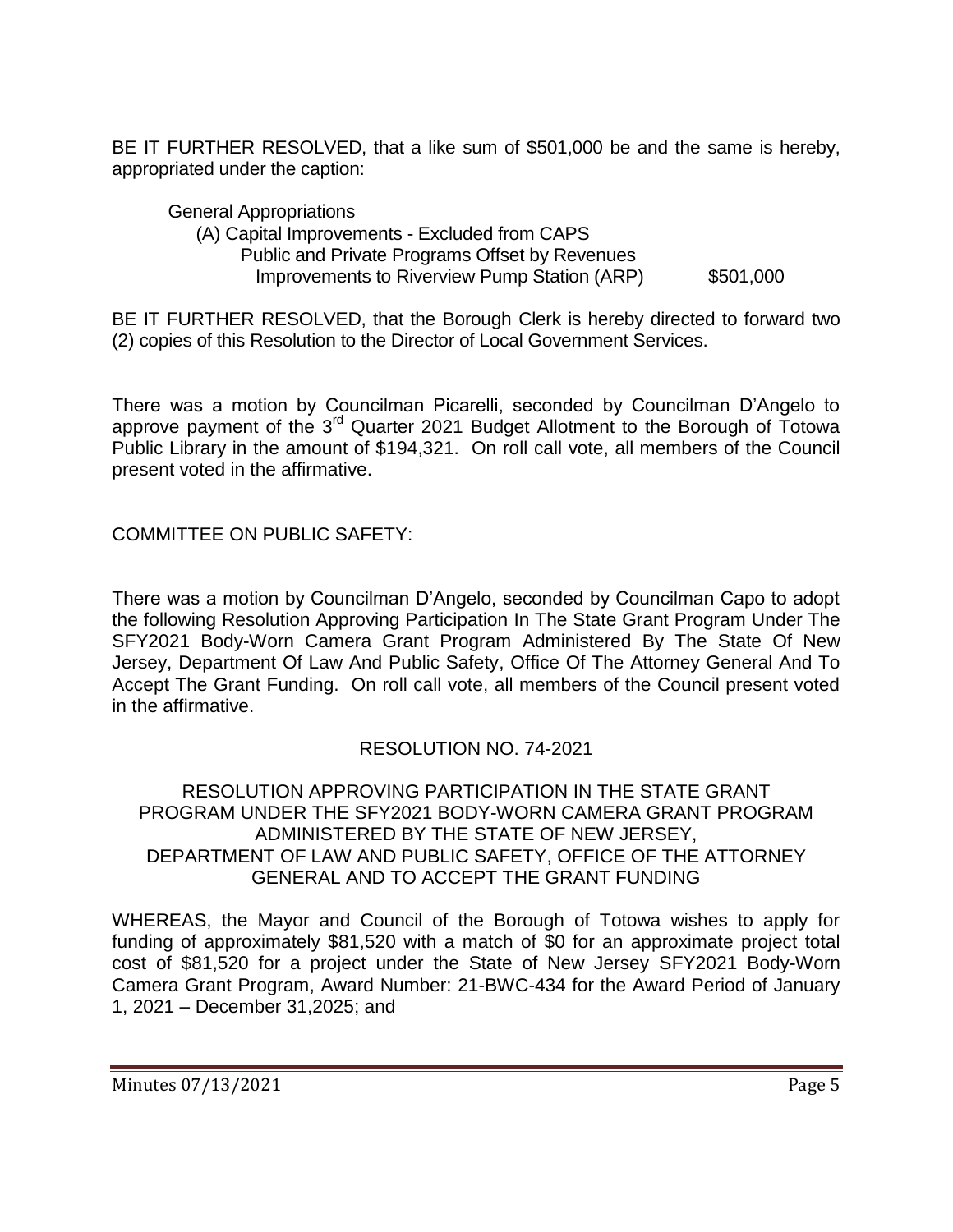BE IT FURTHER RESOLVED, that a like sum of \$501,000 be and the same is hereby, appropriated under the caption:

General Appropriations (A) Capital Improvements - Excluded from CAPS Public and Private Programs Offset by Revenues Improvements to Riverview Pump Station (ARP) \$501,000

BE IT FURTHER RESOLVED, that the Borough Clerk is hereby directed to forward two (2) copies of this Resolution to the Director of Local Government Services.

There was a motion by Councilman Picarelli, seconded by Councilman D'Angelo to approve payment of the  $3^{rd}$  Quarter 2021 Budget Allotment to the Borough of Totowa Public Library in the amount of \$194,321. On roll call vote, all members of the Council present voted in the affirmative.

COMMITTEE ON PUBLIC SAFETY:

There was a motion by Councilman D'Angelo, seconded by Councilman Capo to adopt the following Resolution Approving Participation In The State Grant Program Under The SFY2021 Body-Worn Camera Grant Program Administered By The State Of New Jersey, Department Of Law And Public Safety, Office Of The Attorney General And To Accept The Grant Funding. On roll call vote, all members of the Council present voted in the affirmative.

# RESOLUTION NO. 74-2021

RESOLUTION APPROVING PARTICIPATION IN THE STATE GRANT PROGRAM UNDER THE SFY2021 BODY-WORN CAMERA GRANT PROGRAM ADMINISTERED BY THE STATE OF NEW JERSEY, DEPARTMENT OF LAW AND PUBLIC SAFETY, OFFICE OF THE ATTORNEY GENERAL AND TO ACCEPT THE GRANT FUNDING

WHEREAS, the Mayor and Council of the Borough of Totowa wishes to apply for funding of approximately \$81,520 with a match of \$0 for an approximate project total cost of \$81,520 for a project under the State of New Jersey SFY2021 Body-Worn Camera Grant Program, Award Number: 21-BWC-434 for the Award Period of January 1, 2021 – December 31,2025; and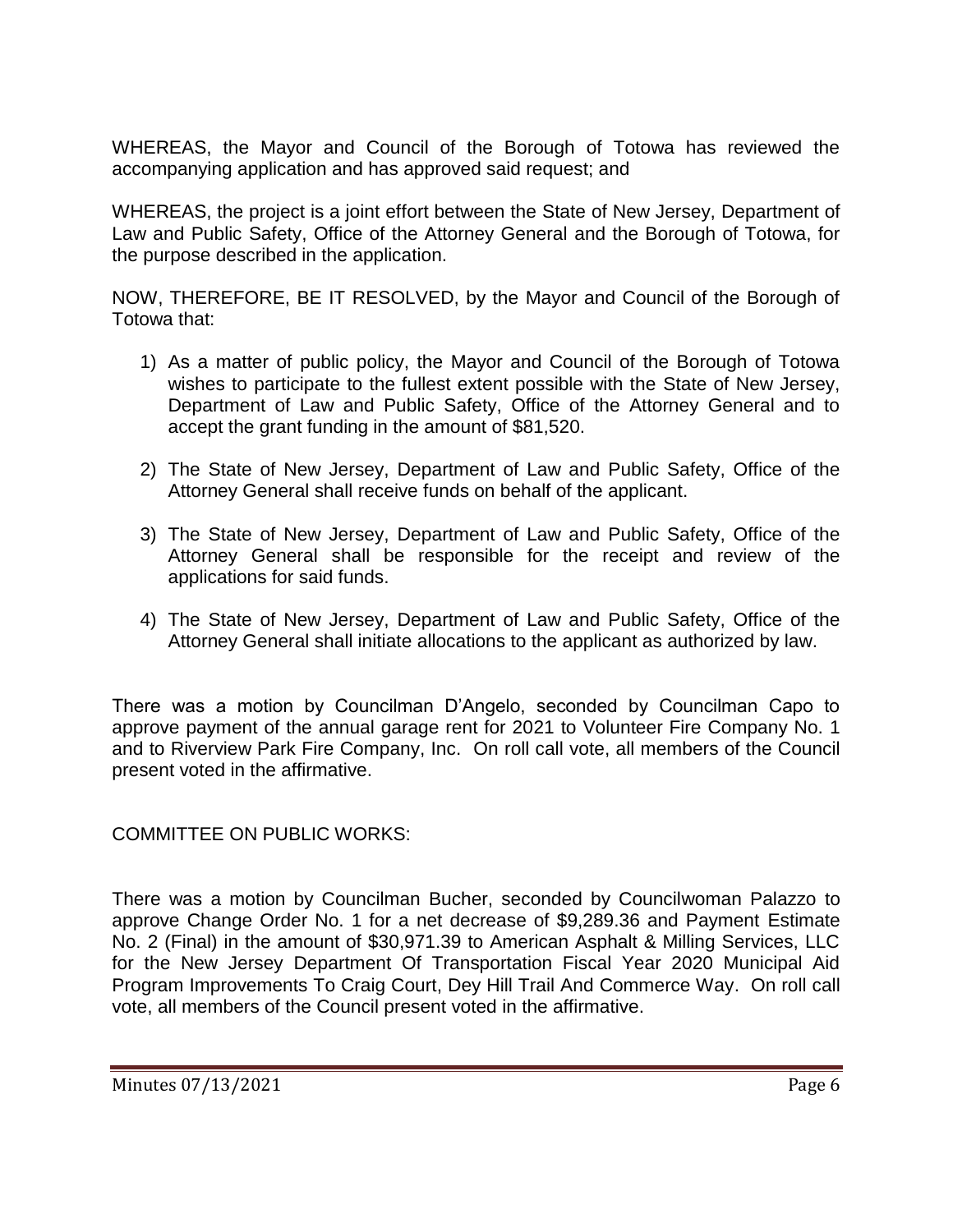WHEREAS, the Mayor and Council of the Borough of Totowa has reviewed the accompanying application and has approved said request; and

WHEREAS, the project is a joint effort between the State of New Jersey, Department of Law and Public Safety, Office of the Attorney General and the Borough of Totowa, for the purpose described in the application.

NOW, THEREFORE, BE IT RESOLVED, by the Mayor and Council of the Borough of Totowa that:

- 1) As a matter of public policy, the Mayor and Council of the Borough of Totowa wishes to participate to the fullest extent possible with the State of New Jersey, Department of Law and Public Safety, Office of the Attorney General and to accept the grant funding in the amount of \$81,520.
- 2) The State of New Jersey, Department of Law and Public Safety, Office of the Attorney General shall receive funds on behalf of the applicant.
- 3) The State of New Jersey, Department of Law and Public Safety, Office of the Attorney General shall be responsible for the receipt and review of the applications for said funds.
- 4) The State of New Jersey, Department of Law and Public Safety, Office of the Attorney General shall initiate allocations to the applicant as authorized by law.

There was a motion by Councilman D'Angelo, seconded by Councilman Capo to approve payment of the annual garage rent for 2021 to Volunteer Fire Company No. 1 and to Riverview Park Fire Company, Inc. On roll call vote, all members of the Council present voted in the affirmative.

COMMITTEE ON PUBLIC WORKS:

There was a motion by Councilman Bucher, seconded by Councilwoman Palazzo to approve Change Order No. 1 for a net decrease of \$9,289.36 and Payment Estimate No. 2 (Final) in the amount of \$30,971.39 to American Asphalt & Milling Services, LLC for the New Jersey Department Of Transportation Fiscal Year 2020 Municipal Aid Program Improvements To Craig Court, Dey Hill Trail And Commerce Way. On roll call vote, all members of the Council present voted in the affirmative.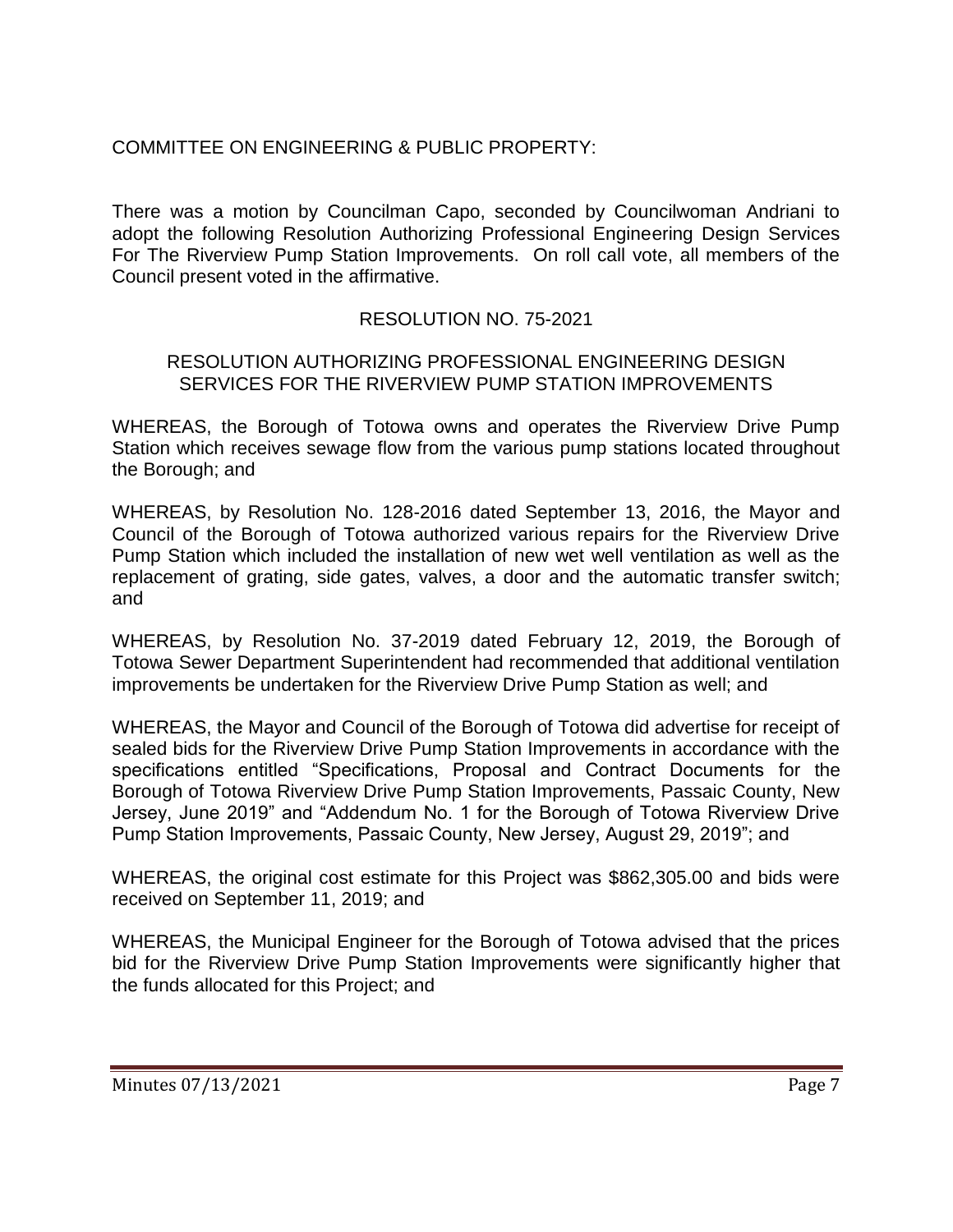# COMMITTEE ON ENGINEERING & PUBLIC PROPERTY:

There was a motion by Councilman Capo, seconded by Councilwoman Andriani to adopt the following Resolution Authorizing Professional Engineering Design Services For The Riverview Pump Station Improvements. On roll call vote, all members of the Council present voted in the affirmative.

### RESOLUTION NO. 75-2021

#### RESOLUTION AUTHORIZING PROFESSIONAL ENGINEERING DESIGN SERVICES FOR THE RIVERVIEW PUMP STATION IMPROVEMENTS

WHEREAS, the Borough of Totowa owns and operates the Riverview Drive Pump Station which receives sewage flow from the various pump stations located throughout the Borough; and

WHEREAS, by Resolution No. 128-2016 dated September 13, 2016, the Mayor and Council of the Borough of Totowa authorized various repairs for the Riverview Drive Pump Station which included the installation of new wet well ventilation as well as the replacement of grating, side gates, valves, a door and the automatic transfer switch; and

WHEREAS, by Resolution No. 37-2019 dated February 12, 2019, the Borough of Totowa Sewer Department Superintendent had recommended that additional ventilation improvements be undertaken for the Riverview Drive Pump Station as well; and

WHEREAS, the Mayor and Council of the Borough of Totowa did advertise for receipt of sealed bids for the Riverview Drive Pump Station Improvements in accordance with the specifications entitled "Specifications, Proposal and Contract Documents for the Borough of Totowa Riverview Drive Pump Station Improvements, Passaic County, New Jersey, June 2019" and "Addendum No. 1 for the Borough of Totowa Riverview Drive Pump Station Improvements, Passaic County, New Jersey, August 29, 2019"; and

WHEREAS, the original cost estimate for this Project was \$862,305.00 and bids were received on September 11, 2019; and

WHEREAS, the Municipal Engineer for the Borough of Totowa advised that the prices bid for the Riverview Drive Pump Station Improvements were significantly higher that the funds allocated for this Project; and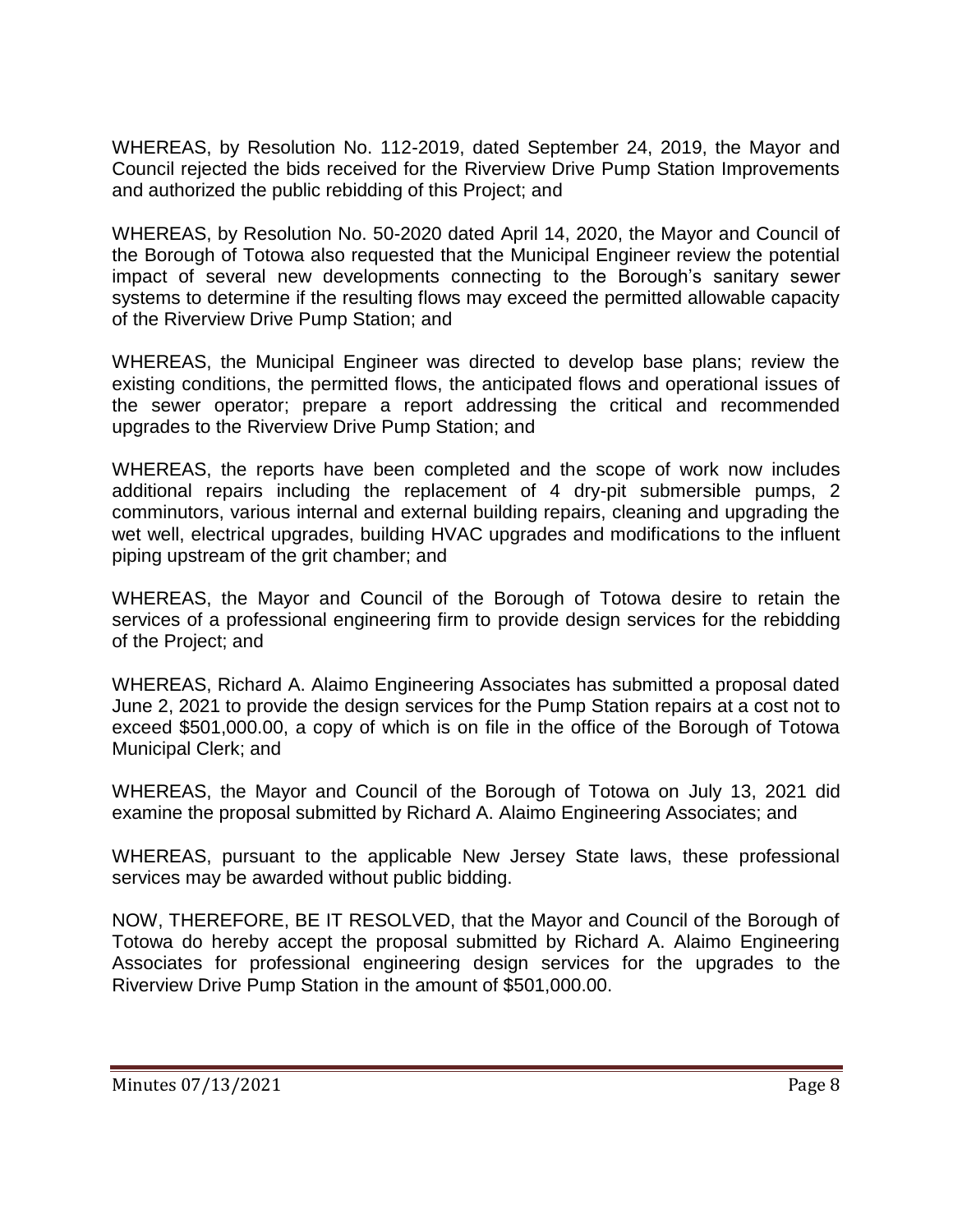WHEREAS, by Resolution No. 112-2019, dated September 24, 2019, the Mayor and Council rejected the bids received for the Riverview Drive Pump Station Improvements and authorized the public rebidding of this Project; and

WHEREAS, by Resolution No. 50-2020 dated April 14, 2020, the Mayor and Council of the Borough of Totowa also requested that the Municipal Engineer review the potential impact of several new developments connecting to the Borough's sanitary sewer systems to determine if the resulting flows may exceed the permitted allowable capacity of the Riverview Drive Pump Station; and

WHEREAS, the Municipal Engineer was directed to develop base plans; review the existing conditions, the permitted flows, the anticipated flows and operational issues of the sewer operator; prepare a report addressing the critical and recommended upgrades to the Riverview Drive Pump Station; and

WHEREAS, the reports have been completed and the scope of work now includes additional repairs including the replacement of 4 dry-pit submersible pumps, 2 comminutors, various internal and external building repairs, cleaning and upgrading the wet well, electrical upgrades, building HVAC upgrades and modifications to the influent piping upstream of the grit chamber; and

WHEREAS, the Mayor and Council of the Borough of Totowa desire to retain the services of a professional engineering firm to provide design services for the rebidding of the Project; and

WHEREAS, Richard A. Alaimo Engineering Associates has submitted a proposal dated June 2, 2021 to provide the design services for the Pump Station repairs at a cost not to exceed \$501,000.00, a copy of which is on file in the office of the Borough of Totowa Municipal Clerk; and

WHEREAS, the Mayor and Council of the Borough of Totowa on July 13, 2021 did examine the proposal submitted by Richard A. Alaimo Engineering Associates; and

WHEREAS, pursuant to the applicable New Jersey State laws, these professional services may be awarded without public bidding.

NOW, THEREFORE, BE IT RESOLVED, that the Mayor and Council of the Borough of Totowa do hereby accept the proposal submitted by Richard A. Alaimo Engineering Associates for professional engineering design services for the upgrades to the Riverview Drive Pump Station in the amount of \$501,000.00.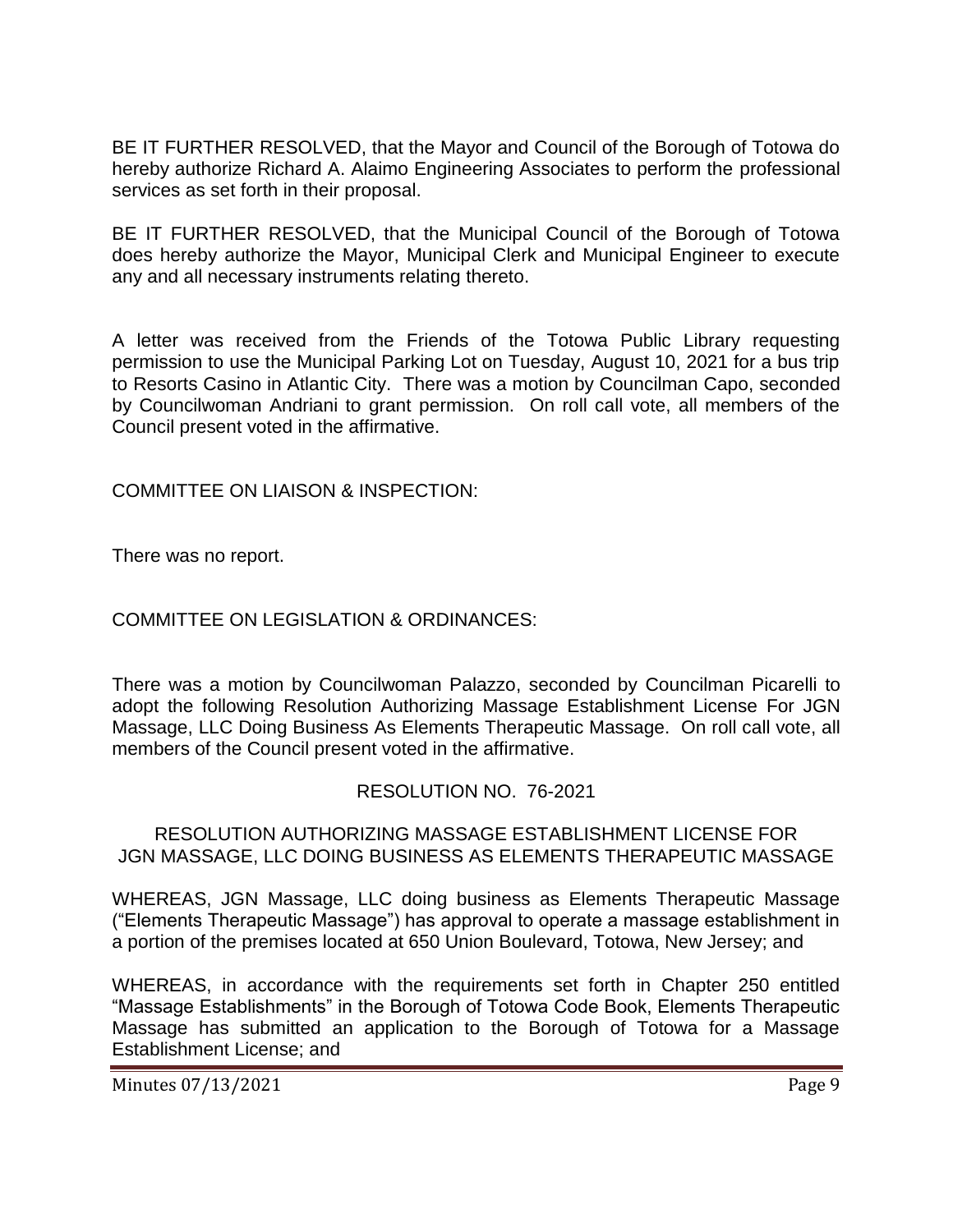BE IT FURTHER RESOLVED, that the Mayor and Council of the Borough of Totowa do hereby authorize Richard A. Alaimo Engineering Associates to perform the professional services as set forth in their proposal.

BE IT FURTHER RESOLVED, that the Municipal Council of the Borough of Totowa does hereby authorize the Mayor, Municipal Clerk and Municipal Engineer to execute any and all necessary instruments relating thereto.

A letter was received from the Friends of the Totowa Public Library requesting permission to use the Municipal Parking Lot on Tuesday, August 10, 2021 for a bus trip to Resorts Casino in Atlantic City. There was a motion by Councilman Capo, seconded by Councilwoman Andriani to grant permission. On roll call vote, all members of the Council present voted in the affirmative.

COMMITTEE ON LIAISON & INSPECTION:

There was no report.

COMMITTEE ON LEGISLATION & ORDINANCES:

There was a motion by Councilwoman Palazzo, seconded by Councilman Picarelli to adopt the following Resolution Authorizing Massage Establishment License For JGN Massage, LLC Doing Business As Elements Therapeutic Massage. On roll call vote, all members of the Council present voted in the affirmative.

#### RESOLUTION NO. 76-2021

#### RESOLUTION AUTHORIZING MASSAGE ESTABLISHMENT LICENSE FOR JGN MASSAGE, LLC DOING BUSINESS AS ELEMENTS THERAPEUTIC MASSAGE

WHEREAS, JGN Massage, LLC doing business as Elements Therapeutic Massage ("Elements Therapeutic Massage") has approval to operate a massage establishment in a portion of the premises located at 650 Union Boulevard, Totowa, New Jersey; and

WHEREAS, in accordance with the requirements set forth in Chapter 250 entitled "Massage Establishments" in the Borough of Totowa Code Book, Elements Therapeutic Massage has submitted an application to the Borough of Totowa for a Massage Establishment License; and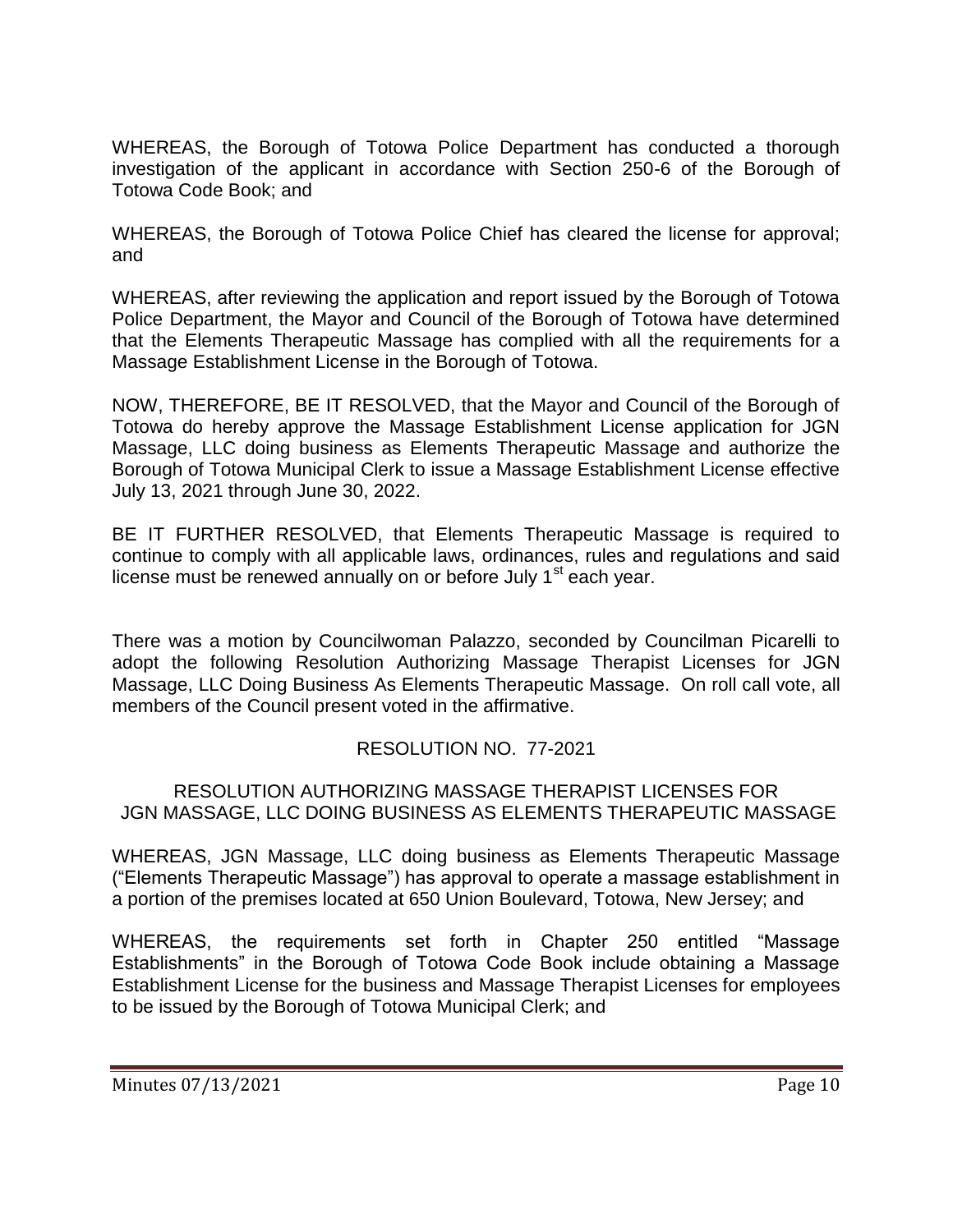WHEREAS, the Borough of Totowa Police Department has conducted a thorough investigation of the applicant in accordance with Section 250-6 of the Borough of Totowa Code Book; and

WHEREAS, the Borough of Totowa Police Chief has cleared the license for approval; and

WHEREAS, after reviewing the application and report issued by the Borough of Totowa Police Department, the Mayor and Council of the Borough of Totowa have determined that the Elements Therapeutic Massage has complied with all the requirements for a Massage Establishment License in the Borough of Totowa.

NOW, THEREFORE, BE IT RESOLVED, that the Mayor and Council of the Borough of Totowa do hereby approve the Massage Establishment License application for JGN Massage, LLC doing business as Elements Therapeutic Massage and authorize the Borough of Totowa Municipal Clerk to issue a Massage Establishment License effective July 13, 2021 through June 30, 2022.

BE IT FURTHER RESOLVED, that Elements Therapeutic Massage is required to continue to comply with all applicable laws, ordinances, rules and regulations and said license must be renewed annually on or before July  $1<sup>st</sup>$  each year.

There was a motion by Councilwoman Palazzo, seconded by Councilman Picarelli to adopt the following Resolution Authorizing Massage Therapist Licenses for JGN Massage, LLC Doing Business As Elements Therapeutic Massage. On roll call vote, all members of the Council present voted in the affirmative.

# RESOLUTION NO. 77-2021

#### RESOLUTION AUTHORIZING MASSAGE THERAPIST LICENSES FOR JGN MASSAGE, LLC DOING BUSINESS AS ELEMENTS THERAPEUTIC MASSAGE

WHEREAS, JGN Massage, LLC doing business as Elements Therapeutic Massage ("Elements Therapeutic Massage") has approval to operate a massage establishment in a portion of the premises located at 650 Union Boulevard, Totowa, New Jersey; and

WHEREAS, the requirements set forth in Chapter 250 entitled "Massage Establishments" in the Borough of Totowa Code Book include obtaining a Massage Establishment License for the business and Massage Therapist Licenses for employees to be issued by the Borough of Totowa Municipal Clerk; and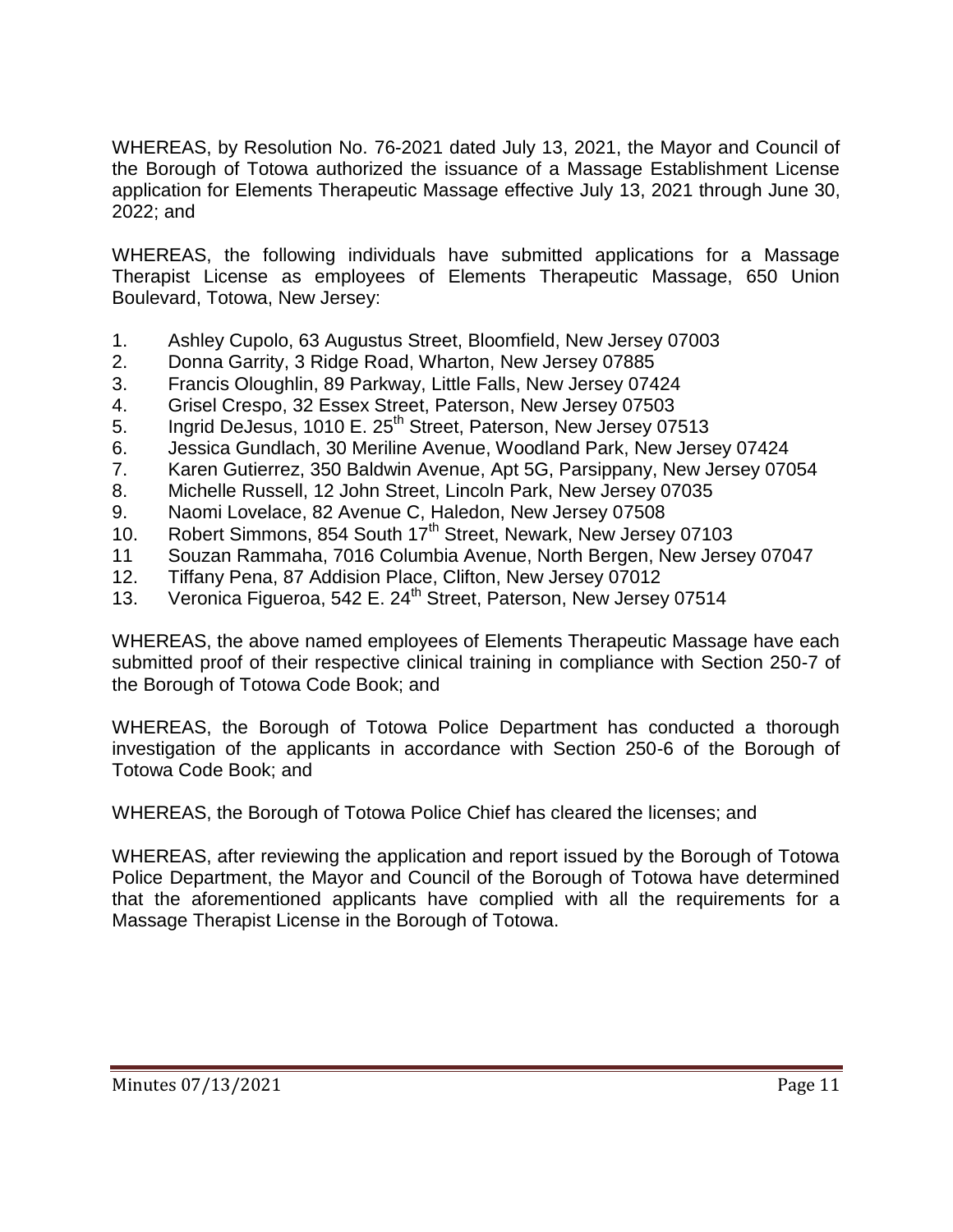WHEREAS, by Resolution No. 76-2021 dated July 13, 2021, the Mayor and Council of the Borough of Totowa authorized the issuance of a Massage Establishment License application for Elements Therapeutic Massage effective July 13, 2021 through June 30, 2022; and

WHEREAS, the following individuals have submitted applications for a Massage Therapist License as employees of Elements Therapeutic Massage, 650 Union Boulevard, Totowa, New Jersey:

- 1. Ashley Cupolo, 63 Augustus Street, Bloomfield, New Jersey 07003
- 2. Donna Garrity, 3 Ridge Road, Wharton, New Jersey 07885
- 3. Francis Oloughlin, 89 Parkway, Little Falls, New Jersey 07424
- 4. Grisel Crespo, 32 Essex Street, Paterson, New Jersey 07503
- 5. Ingrid DeJesus, 1010 E. 25<sup>th</sup> Street, Paterson, New Jersey 07513
- 6. Jessica Gundlach, 30 Meriline Avenue, Woodland Park, New Jersey 07424
- 7. Karen Gutierrez, 350 Baldwin Avenue, Apt 5G, Parsippany, New Jersey 07054
- 8. Michelle Russell, 12 John Street, Lincoln Park, New Jersey 07035
- 9. Naomi Lovelace, 82 Avenue C, Haledon, New Jersey 07508
- 10. Robert Simmons, 854 South 17<sup>th</sup> Street, Newark, New Jersey 07103
- 11 Souzan Rammaha, 7016 Columbia Avenue, North Bergen, New Jersey 07047
- 12. Tiffany Pena, 87 Addision Place, Clifton, New Jersey 07012
- 13. Veronica Figueroa, 542 E. 24<sup>th</sup> Street, Paterson, New Jersey 07514

WHEREAS, the above named employees of Elements Therapeutic Massage have each submitted proof of their respective clinical training in compliance with Section 250-7 of the Borough of Totowa Code Book; and

WHEREAS, the Borough of Totowa Police Department has conducted a thorough investigation of the applicants in accordance with Section 250-6 of the Borough of Totowa Code Book; and

WHEREAS, the Borough of Totowa Police Chief has cleared the licenses; and

WHEREAS, after reviewing the application and report issued by the Borough of Totowa Police Department, the Mayor and Council of the Borough of Totowa have determined that the aforementioned applicants have complied with all the requirements for a Massage Therapist License in the Borough of Totowa.